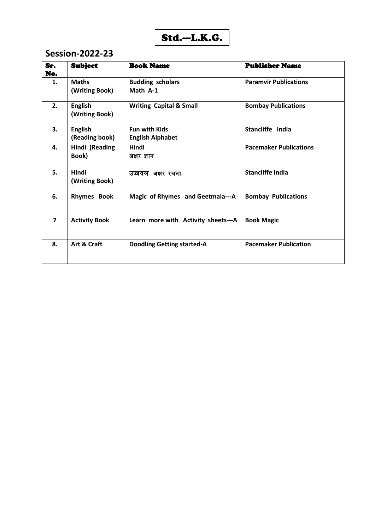$$
Std.\text{-}L.K.G.
$$

| Sr.<br>No.     | <b>Subject</b>                   | <b>Book Name</b>                                | <b>Publisher Name</b>         |
|----------------|----------------------------------|-------------------------------------------------|-------------------------------|
| 1.             | <b>Maths</b><br>(Writing Book)   | <b>Budding scholars</b><br>Math A-1             | <b>Paramvir Publications</b>  |
| 2.             | <b>English</b><br>(Writing Book) | <b>Writing Capital &amp; Small</b>              | <b>Bombay Publications</b>    |
| 3.             | <b>English</b><br>(Reading book) | <b>Fun with Kids</b><br><b>English Alphabet</b> | Stancliffe India              |
| 4.             | Hindi (Reading<br>Book)          | Hindi<br>अक्षर ज्ञान                            | <b>Pacemaker Publications</b> |
| 5.             | Hindi<br>(Writing Book)          | उज्जवल अक्षर रचना                               | <b>Stancliffe India</b>       |
| 6.             | <b>Rhymes Book</b>               | Magic of Rhymes and Geetmala---A                | <b>Bombay Publications</b>    |
| $\overline{7}$ | <b>Activity Book</b>             | Learn more with Activity sheets---A             | <b>Book Magic</b>             |
| 8.             | Art & Craft                      | <b>Doodling Getting started-A</b>               | <b>Pacemaker Publication</b>  |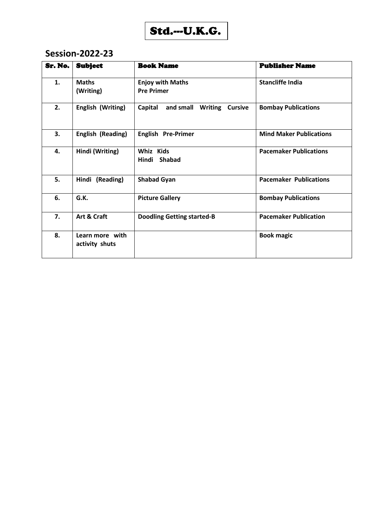

| Sr. No. | <b>Subject</b>                    | <b>Book Name</b>                               | <b>Publisher Name</b>          |
|---------|-----------------------------------|------------------------------------------------|--------------------------------|
| 1.      | <b>Maths</b><br>(Writing)         | <b>Enjoy with Maths</b><br><b>Pre Primer</b>   | <b>Stancliffe India</b>        |
| 2.      | English (Writing)                 | and small Writing<br>Capital<br><b>Cursive</b> | <b>Bombay Publications</b>     |
| 3.      | <b>English (Reading)</b>          | <b>English Pre-Primer</b>                      | <b>Mind Maker Publications</b> |
| 4.      | Hindi (Writing)                   | Whiz Kids<br>Hindi<br><b>Shabad</b>            | <b>Pacemaker Publications</b>  |
| 5.      | Hindi (Reading)                   | <b>Shabad Gyan</b>                             | <b>Pacemaker Publications</b>  |
| 6.      | G.K.                              | <b>Picture Gallery</b>                         | <b>Bombay Publications</b>     |
| 7.      | Art & Craft                       | <b>Doodling Getting started-B</b>              | <b>Pacemaker Publication</b>   |
| 8.      | Learn more with<br>activity shuts |                                                | <b>Book magic</b>              |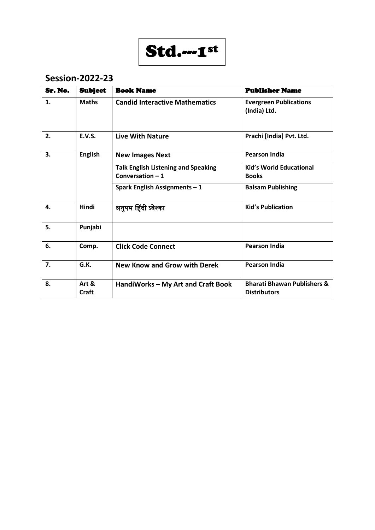

| Sr. No. | <b>Subject</b> | <b>Book Name</b>                                               | <b>Publisher Name</b>                                         |
|---------|----------------|----------------------------------------------------------------|---------------------------------------------------------------|
| 1.      | <b>Maths</b>   | <b>Candid Interactive Mathematics</b>                          | <b>Evergreen Publications</b><br>(India) Ltd.                 |
| 2.      | <b>E.V.S.</b>  | Live With Nature                                               | Prachi [India] Pvt. Ltd.                                      |
| 3.      | <b>English</b> | <b>New Images Next</b>                                         | <b>Pearson India</b>                                          |
|         |                | <b>Talk English Listening and Speaking</b><br>Conversation - 1 | <b>Kid's World Educational</b><br><b>Books</b>                |
|         |                | Spark English Assignments - 1                                  | <b>Balsam Publishing</b>                                      |
| 4.      | Hindi          | अनुपम हिंदी प्र्वेश्का                                         | <b>Kid's Publication</b>                                      |
| 5.      | Punjabi        |                                                                |                                                               |
| 6.      | Comp.          | <b>Click Code Connect</b>                                      | <b>Pearson India</b>                                          |
| 7.      | G.K.           | <b>New Know and Grow with Derek</b>                            | <b>Pearson India</b>                                          |
| 8.      | Art &<br>Craft | HandiWorks - My Art and Craft Book                             | <b>Bharati Bhawan Publishers &amp;</b><br><b>Distributors</b> |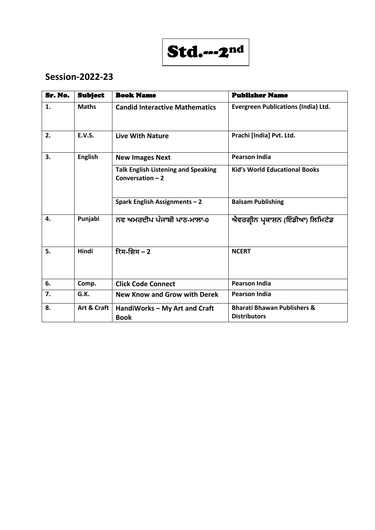

| Sr. No. | <b>Subject</b> | <b>Book Name</b>                                                | <b>Publisher Name</b>                                         |
|---------|----------------|-----------------------------------------------------------------|---------------------------------------------------------------|
| 1.      | <b>Maths</b>   | <b>Candid Interactive Mathematics</b>                           | <b>Evergreen Publications (India) Ltd.</b>                    |
| 2.      | <b>E.V.S.</b>  | <b>Live With Nature</b>                                         | Prachi [India] Pvt. Ltd.                                      |
| 3.      | <b>English</b> | <b>New Images Next</b>                                          | <b>Pearson India</b>                                          |
|         |                | <b>Talk English Listening and Speaking</b><br>Conversation $-2$ | <b>Kid's World Educational Books</b>                          |
|         |                | Spark English Assignments - 2                                   | <b>Balsam Publishing</b>                                      |
| 4.      | Punjabi        | ਨਵ ਅਮਰਦੀਪ ਪੰਜਾਬੀ ਪਾਠ-ਮਾਲਾ-0                                     | ਐਵਰਗ੍ਰੀਨ ਪ੍ਰਕਾਸ਼ਨ (ਇੰਡੀਆ) ਲਿਮਿਟੇਡ                             |
| 5.      | <b>Hindi</b>   | रिम-झिम – 2                                                     | <b>NCERT</b>                                                  |
| 6.      | Comp.          | <b>Click Code Connect</b>                                       | <b>Pearson India</b>                                          |
| 7.      | G.K.           | New Know and Grow with Derek                                    | <b>Pearson India</b>                                          |
| 8.      | Art & Craft    | HandiWorks - My Art and Craft<br><b>Book</b>                    | <b>Bharati Bhawan Publishers &amp;</b><br><b>Distributors</b> |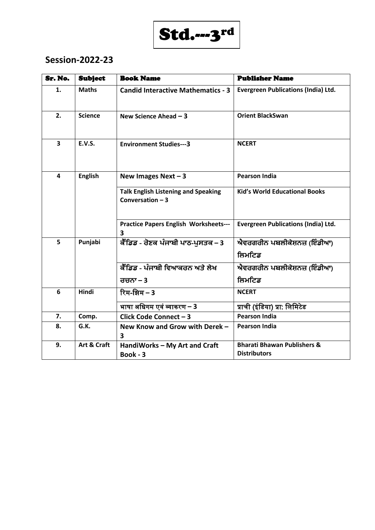# Std.---3rd

| Sr. No.                 | <b>Subject</b> | <b>Book Name</b>                                                | <b>Publisher Name</b>                                         |
|-------------------------|----------------|-----------------------------------------------------------------|---------------------------------------------------------------|
| 1.                      | <b>Maths</b>   | <b>Candid Interactive Mathematics - 3</b>                       | <b>Evergreen Publications (India) Ltd.</b>                    |
| 2.                      | <b>Science</b> | New Science Ahead $-3$                                          | <b>Orient BlackSwan</b>                                       |
| $\overline{\mathbf{3}}$ | <b>E.V.S.</b>  | <b>Environment Studies---3</b>                                  | <b>NCERT</b>                                                  |
| 4                       | <b>English</b> | New Images Next $-3$                                            | <b>Pearson India</b>                                          |
|                         |                | <b>Talk English Listening and Speaking</b><br>Conversation $-3$ | <b>Kid's World Educational Books</b>                          |
|                         |                | <b>Practice Papers English Worksheets---</b><br>3               | <b>Evergreen Publications (India) Ltd.</b>                    |
| 5                       | Punjabi        | ਕੈਂਡਿਡ - ਰੋਣਕ ਪੰਜਾਬੀ ਪਾਠ-ਪੁਸਤਕ – 3                              | ਐਵਰਗਰੀਨ ਪਬਲੀਕੇਸ਼ਨਜ਼ (ਇੰਡੀਆ)                                   |
|                         |                |                                                                 | ਲਿਮਟਿਡ                                                        |
|                         |                | ਕੈੰਡਿਡ - ਪੰਜਾਬੀ ਵਿਆਕਰਨ ਅਤੇ ਲੇਖ                                  | ਐਵਰਗਰੀਨ ਪਬਲੀਕੇਸ਼ਨਜ਼ (ਇੰਡੀਆ)                                   |
|                         |                | ਰਚਨਾ $-3$                                                       | ਲਿਮਟਿਡ                                                        |
| 6                       | Hindi          | रिम-झिम – 3                                                     | <b>NCERT</b>                                                  |
|                         |                | भाषा अधिगम एवं व्याकरण – 3                                      | प्राची (इंडिया) प्रा. लिमिटेड                                 |
| 7.                      | Comp.          | Click Code Connect - 3                                          | <b>Pearson India</b>                                          |
| 8.                      | G.K.           | New Know and Grow with Derek -<br>$\overline{\mathbf{3}}$       | <b>Pearson India</b>                                          |
| 9.                      | Art & Craft    | HandiWorks - My Art and Craft<br>Book - 3                       | <b>Bharati Bhawan Publishers &amp;</b><br><b>Distributors</b> |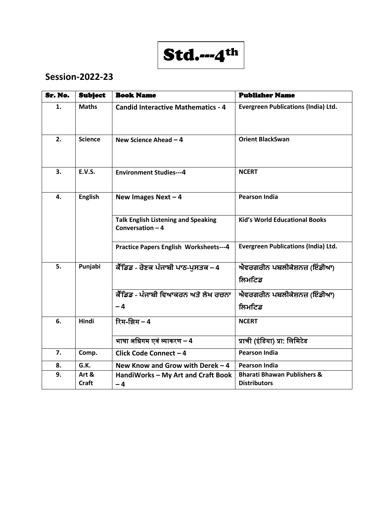Std.---4th

| Sr. No. | <b>Subject</b>        | <b>Book Name</b>                                                | <b>Publisher Name</b>                                         |  |
|---------|-----------------------|-----------------------------------------------------------------|---------------------------------------------------------------|--|
| 1.      | <b>Maths</b>          | <b>Candid Interactive Mathematics - 4</b>                       | <b>Evergreen Publications (India) Ltd.</b>                    |  |
| 2.      | <b>Science</b>        | New Science Ahead $-4$                                          | <b>Orient BlackSwan</b>                                       |  |
| 3.      | <b>E.V.S.</b>         | <b>Environment Studies---4</b>                                  | <b>NCERT</b>                                                  |  |
| 4.      | <b>English</b>        | New Images Next $-4$                                            | <b>Pearson India</b>                                          |  |
|         |                       | <b>Talk English Listening and Speaking</b><br>Conversation $-4$ | <b>Kid's World Educational Books</b>                          |  |
|         |                       | <b>Practice Papers English Worksheets---4</b>                   | <b>Evergreen Publications (India) Ltd.</b>                    |  |
| 5.      | Punjabi               | ਕੈਂਡਿਡ - ਰੋਣਕ ਪੰਜਾਬੀ ਪਾਠ-ਪੁਸਤਕ – 4                              | ਐਵਰਗਰੀਨ ਪਬਲੀਕੇਸ਼ਨਜ਼ (ਇੰਡੀਆ)<br>ਲਿਮਟਿਡ                         |  |
|         |                       | <u>ਕੈੱਡਿਡ - ਪੰਜਾਬੀ ਵਿਆਕਰਨ ਅਤੇ ਲੇਖ ਰਚਨਾ</u>                      | ਐਵਰਗਰੀਨ ਪਬਲੀਕੇਸ਼ਨਜ਼ (ਇੰਡੀਆ)                                   |  |
|         |                       | $-4$                                                            | ਲਿਮਟਿਡ                                                        |  |
| 6.      | Hindi                 | रिम-झिम - 4                                                     | <b>NCERT</b>                                                  |  |
|         |                       | भाषा अधिगम एवं व्याकरण – 4                                      | प्राची (इंडिया) प्रा: लिमिटेड                                 |  |
| 7.      | Comp.                 | Click Code Connect-4                                            | <b>Pearson India</b>                                          |  |
| 8.      | G.K.                  | New Know and Grow with Derek - 4                                | <b>Pearson India</b>                                          |  |
| 9.      | Art &<br><b>Craft</b> | HandiWorks - My Art and Craft Book<br>$-4$                      | <b>Bharati Bhawan Publishers &amp;</b><br><b>Distributors</b> |  |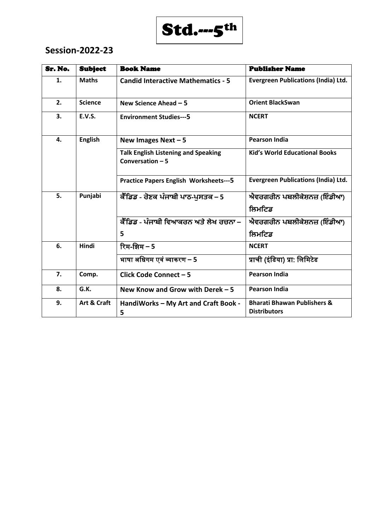

| Sr. No. | <b>Subject</b> | <b>Book Name</b>                                                | <b>Publisher Name</b>                                         |
|---------|----------------|-----------------------------------------------------------------|---------------------------------------------------------------|
| 1.      | <b>Maths</b>   | <b>Candid Interactive Mathematics - 5</b>                       | <b>Evergreen Publications (India) Ltd.</b>                    |
| 2.      | <b>Science</b> | New Science Ahead $-5$                                          | <b>Orient BlackSwan</b>                                       |
| 3.      | <b>E.V.S.</b>  | <b>Environment Studies---5</b>                                  | <b>NCERT</b>                                                  |
| 4.      | <b>English</b> | New Images Next $-5$                                            | <b>Pearson India</b>                                          |
|         |                | <b>Talk English Listening and Speaking</b><br>Conversation $-5$ | <b>Kid's World Educational Books</b>                          |
|         |                | <b>Practice Papers English Worksheets---5</b>                   | <b>Evergreen Publications (India) Ltd.</b>                    |
| 5.      | Punjabi        | ਕੈਂਡਿਡ - ਰੋਣਕ ਪੰਜਾਬੀ ਪਾਠ-ਪੁਸਤਕ – 5                              | ਐਵਰਗਰੀਨ ਪਬਲੀਕੇਸ਼ਨਜ਼ (ਇੰਡੀਆ)                                   |
|         |                |                                                                 | ਲਿਮਟਿਡ                                                        |
|         |                | ਕੈੰਡਿਡ - ਪੰਜਾਬੀ ਵਿਆਕਰਨ ਅਤੇ ਲੇਖ ਰਚਨਾ –                           | ਐਵਰਗਰੀਨ ਪਬਲੀਕੇਸ਼ਨਜ਼ (ਇੰਡੀਆ)                                   |
|         |                | 5                                                               | ਲਿਮਟਿਡ                                                        |
| 6.      | Hindi          | रिम-झिम – 5                                                     | <b>NCERT</b>                                                  |
|         |                | भाषा अधिगम एवं व्याकरण – 5                                      | प्राची (इंडिया) प्रा: लिमिटेड                                 |
| 7.      | Comp.          | Click Code Connect - 5                                          | <b>Pearson India</b>                                          |
| 8.      | G.K.           | New Know and Grow with Derek $-5$                               | <b>Pearson India</b>                                          |
| 9.      | Art & Craft    | HandiWorks - My Art and Craft Book -<br>5                       | <b>Bharati Bhawan Publishers &amp;</b><br><b>Distributors</b> |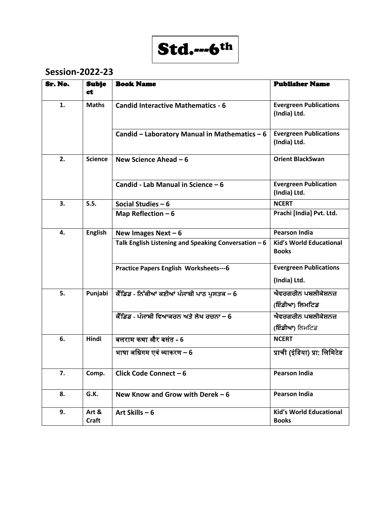

| Sr. No. | <b>Subje</b><br>ct    | <b>Book Name</b>                                      | <b>Publisher Name</b>                          |
|---------|-----------------------|-------------------------------------------------------|------------------------------------------------|
| 1.      | <b>Maths</b>          | <b>Candid Interactive Mathematics - 6</b>             | <b>Evergreen Publications</b><br>(India) Ltd.  |
|         |                       | Candid - Laboratory Manual in Mathematics - 6         | <b>Evergreen Publications</b><br>(India) Ltd.  |
| 2.      | <b>Science</b>        | New Science Ahead $-6$                                | <b>Orient BlackSwan</b>                        |
|         |                       | Candid - Lab Manual in Science - 6                    | <b>Evergreen Publication</b><br>(India) Ltd.   |
| 3.      | S.S.                  | Social Studies $-6$                                   | <b>NCERT</b>                                   |
|         |                       | Map Reflection $-6$                                   | Prachi [India] Pvt. Ltd.                       |
| 4.      | <b>English</b>        | New Images Next $-6$                                  | <b>Pearson India</b>                           |
|         |                       | Talk English Listening and Speaking Conversation $-6$ | <b>Kid's World Educational</b><br><b>Books</b> |
|         |                       | <b>Practice Papers English Worksheets---6</b>         | <b>Evergreen Publications</b><br>(India) Ltd.  |
| 5.      | Punjabi               | ਕੈੰਡਿਡ - ਨਿੱਕੀਆਂ ਕਣੀਆਂ ਪੰਜਾਬੀ ਪਾਠ ਪੁਸਤਕ – 6           | ਐਵਰਗਰੀਨ ਪਬਲੀਕੇਸ਼ਨਜ਼<br>(ਇੰਡੀਆ) ਲਿਮਟਿਡ          |
|         |                       | <u>ਕੈੰਡਿਡ - ਪੰਜਾਬੀ ਵਿਆਕਰਨ ਅਤੇ ਲੇਖ ਰਚਨਾ – 6</u>        | ਐਵਰਗਰੀਨ ਪਬਲੀਕੇਸ਼ਨਜ਼<br>( <b>ਇੰਡੀਆ</b> ) ਲਿਮਟਿਡ |
| 6.      | <b>Hindi</b>          | बलराम कथा और बसंत - 6                                 | <b>NCERT</b>                                   |
|         |                       | भाषा अधिगम एवं व्याकरण – 6                            | प्राची (इंडिया) प्रा: लिमिटेड                  |
| 7.      | Comp.                 | Click Code Connect - 6                                | <b>Pearson India</b>                           |
| 8.      | G.K.                  | New Know and Grow with Derek $-6$                     | <b>Pearson India</b>                           |
| 9.      | Art &<br><b>Craft</b> | Art Skills $-6$                                       | <b>Kid's World Educational</b><br><b>Books</b> |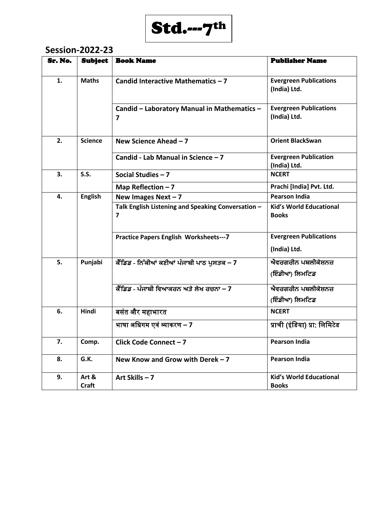

| Sr. No. | <b>Subject</b>        | <b>Book Name</b>                                        | <b>Publisher Name</b>                          |
|---------|-----------------------|---------------------------------------------------------|------------------------------------------------|
| 1.      | <b>Maths</b>          | Candid Interactive Mathematics - 7                      | <b>Evergreen Publications</b><br>(India) Ltd.  |
|         |                       | Candid - Laboratory Manual in Mathematics -<br>7        | <b>Evergreen Publications</b><br>(India) Ltd.  |
| 2.      | <b>Science</b>        | New Science Ahead $-7$                                  | <b>Orient BlackSwan</b>                        |
|         |                       | Candid - Lab Manual in Science - 7                      | <b>Evergreen Publication</b><br>(India) Ltd.   |
| 3.      | S.S.                  | Social Studies $-7$                                     | <b>NCERT</b>                                   |
|         |                       | Map Reflection $-7$                                     | Prachi [India] Pvt. Ltd.                       |
| 4.      | <b>English</b>        | New Images Next $-7$                                    | <b>Pearson India</b>                           |
|         |                       | Talk English Listening and Speaking Conversation -<br>7 | <b>Kid's World Educational</b><br><b>Books</b> |
|         |                       | <b>Practice Papers English Worksheets--- 7</b>          | <b>Evergreen Publications</b><br>(India) Ltd.  |
| 5.      | Punjabi               | ਕੈੰਡਿਡ - ਨਿੱਕੀਆਂ ਕਣੀਆਂ ਪੰਜਾਬੀ ਪਾਠ ਪਸਤਕ – 7              | ਐਵਰਗਰੀਨ ਪਬਲੀਕੇਸ਼ਨਜ਼<br>(ਇੰਡੀਆ) ਲਿਮਟਿਡ          |
|         |                       | ਕੈਂਡਿਡ - ਪੰਜਾਬੀ ਵਿਆਕਰਨ ਅਤੇ ਲੇਖ ਰਚਨਾ – 7                 | ਐਵਰਗਰੀਨ ਪਬਲੀਕੇਸ਼ਨਜ਼<br>(ਇੰਡੀਆ) ਲਿਮਟਿਡ          |
| 6.      | Hindi                 | बसंत और महाभारत                                         | <b>NCERT</b>                                   |
|         |                       | भाषा अधिगम एवं व्याकरण – 7                              | प्राची (इंडिया) प्रा: लिमिटेड                  |
| 7.      | Comp.                 | Click Code Connect - 7                                  | <b>Pearson India</b>                           |
| 8.      | G.K.                  | New Know and Grow with Derek $-7$                       | <b>Pearson India</b>                           |
| 9.      | Art &<br><b>Craft</b> | Art Skills-7                                            | <b>Kid's World Educational</b><br><b>Books</b> |